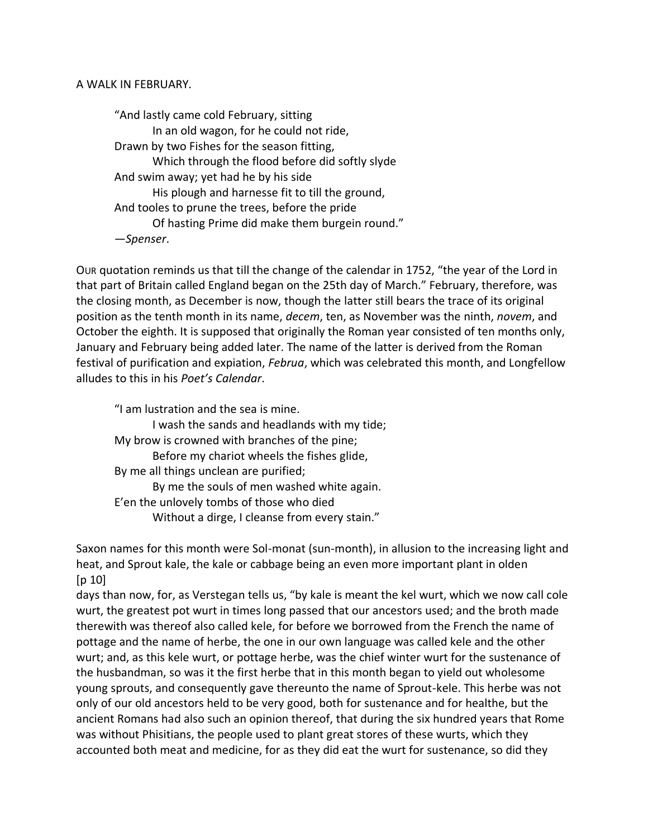## A WALK IN FEBRUARY.

"And lastly came cold February, sitting In an old wagon, for he could not ride, Drawn by two Fishes for the season fitting, Which through the flood before did softly slyde And swim away; yet had he by his side His plough and harnesse fit to till the ground, And tooles to prune the trees, before the pride Of hasting Prime did make them burgein round." —*Spenser*.

OUR quotation reminds us that till the change of the calendar in 1752, "the year of the Lord in that part of Britain called England began on the 25th day of March." February, therefore, was the closing month, as December is now, though the latter still bears the trace of its original position as the tenth month in its name, *decem*, ten, as November was the ninth, *novem*, and October the eighth. It is supposed that originally the Roman year consisted of ten months only, January and February being added later. The name of the latter is derived from the Roman festival of purification and expiation, *Februa*, which was celebrated this month, and Longfellow alludes to this in his *Poet's Calendar*.

"I am lustration and the sea is mine. I wash the sands and headlands with my tide; My brow is crowned with branches of the pine; Before my chariot wheels the fishes glide, By me all things unclean are purified; By me the souls of men washed white again. E'en the unlovely tombs of those who died Without a dirge, I cleanse from every stain."

Saxon names for this month were Sol-monat (sun-month), in allusion to the increasing light and heat, and Sprout kale, the kale or cabbage being an even more important plant in olden  $[p 10]$ 

days than now, for, as Verstegan tells us, "by kale is meant the kel wurt, which we now call cole wurt, the greatest pot wurt in times long passed that our ancestors used; and the broth made therewith was thereof also called kele, for before we borrowed from the French the name of pottage and the name of herbe, the one in our own language was called kele and the other wurt; and, as this kele wurt, or pottage herbe, was the chief winter wurt for the sustenance of the husbandman, so was it the first herbe that in this month began to yield out wholesome young sprouts, and consequently gave thereunto the name of Sprout-kele. This herbe was not only of our old ancestors held to be very good, both for sustenance and for healthe, but the ancient Romans had also such an opinion thereof, that during the six hundred years that Rome was without Phisitians, the people used to plant great stores of these wurts, which they accounted both meat and medicine, for as they did eat the wurt for sustenance, so did they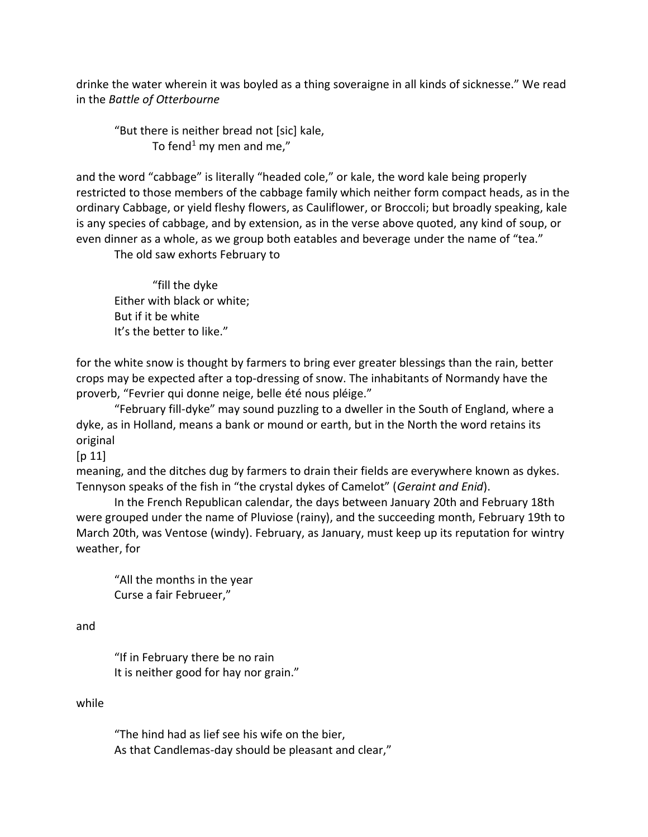drinke the water wherein it was boyled as a thing soveraigne in all kinds of sicknesse." We read in the *Battle of Otterbourne*

"But there is neither bread not [sic] kale, To fend<sup>1</sup> my men and me,"

and the word "cabbage" is literally "headed cole," or kale, the word kale being properly restricted to those members of the cabbage family which neither form compact heads, as in the ordinary Cabbage, or yield fleshy flowers, as Cauliflower, or Broccoli; but broadly speaking, kale is any species of cabbage, and by extension, as in the verse above quoted, any kind of soup, or even dinner as a whole, as we group both eatables and beverage under the name of "tea."

The old saw exhorts February to

"fill the dyke Either with black or white; But if it be white It's the better to like."

for the white snow is thought by farmers to bring ever greater blessings than the rain, better crops may be expected after a top-dressing of snow. The inhabitants of Normandy have the proverb, "Fevrier qui donne neige, belle été nous pléige."

"February fill-dyke" may sound puzzling to a dweller in the South of England, where a dyke, as in Holland, means a bank or mound or earth, but in the North the word retains its original

 $[p 11]$ 

meaning, and the ditches dug by farmers to drain their fields are everywhere known as dykes. Tennyson speaks of the fish in "the crystal dykes of Camelot" (*Geraint and Enid*).

In the French Republican calendar, the days between January 20th and February 18th were grouped under the name of Pluviose (rainy), and the succeeding month, February 19th to March 20th, was Ventose (windy). February, as January, must keep up its reputation for wintry weather, for

"All the months in the year Curse a fair Februeer,"

and

"If in February there be no rain It is neither good for hay nor grain."

while

"The hind had as lief see his wife on the bier, As that Candlemas-day should be pleasant and clear,"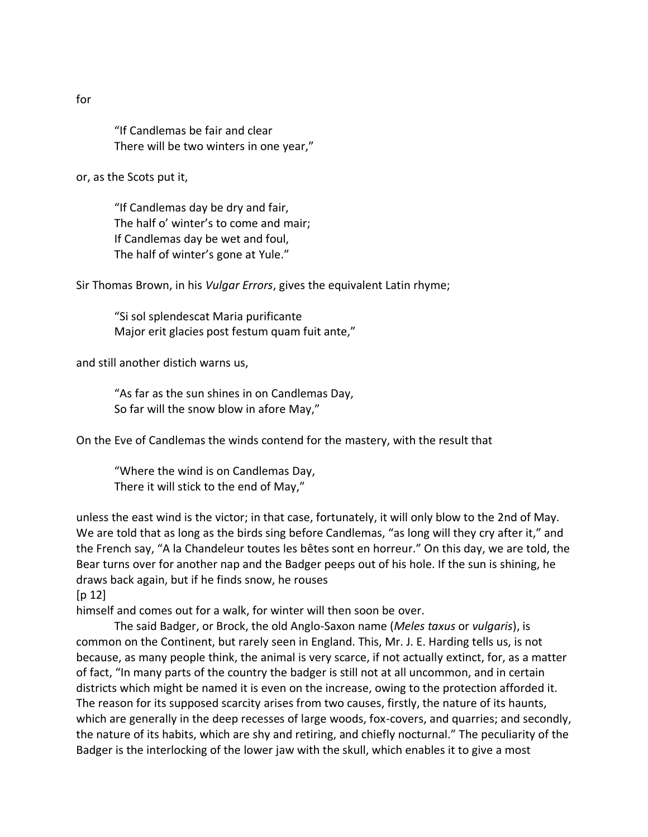"If Candlemas be fair and clear There will be two winters in one year,"

or, as the Scots put it,

"If Candlemas day be dry and fair, The half o' winter's to come and mair; If Candlemas day be wet and foul, The half of winter's gone at Yule."

Sir Thomas Brown, in his *Vulgar Errors*, gives the equivalent Latin rhyme;

"Si sol splendescat Maria purificante Major erit glacies post festum quam fuit ante,"

and still another distich warns us,

"As far as the sun shines in on Candlemas Day, So far will the snow blow in afore May,"

On the Eve of Candlemas the winds contend for the mastery, with the result that

"Where the wind is on Candlemas Day, There it will stick to the end of May,"

unless the east wind is the victor; in that case, fortunately, it will only blow to the 2nd of May. We are told that as long as the birds sing before Candlemas, "as long will they cry after it," and the French say, "A la Chandeleur toutes les bêtes sont en horreur." On this day, we are told, the Bear turns over for another nap and the Badger peeps out of his hole. If the sun is shining, he draws back again, but if he finds snow, he rouses

 $[p 12]$ 

himself and comes out for a walk, for winter will then soon be over.

The said Badger, or Brock, the old Anglo-Saxon name (*Meles taxus* or *vulgaris*), is common on the Continent, but rarely seen in England. This, Mr. J. E. Harding tells us, is not because, as many people think, the animal is very scarce, if not actually extinct, for, as a matter of fact, "In many parts of the country the badger is still not at all uncommon, and in certain districts which might be named it is even on the increase, owing to the protection afforded it. The reason for its supposed scarcity arises from two causes, firstly, the nature of its haunts, which are generally in the deep recesses of large woods, fox-covers, and quarries; and secondly, the nature of its habits, which are shy and retiring, and chiefly nocturnal." The peculiarity of the Badger is the interlocking of the lower jaw with the skull, which enables it to give a most

for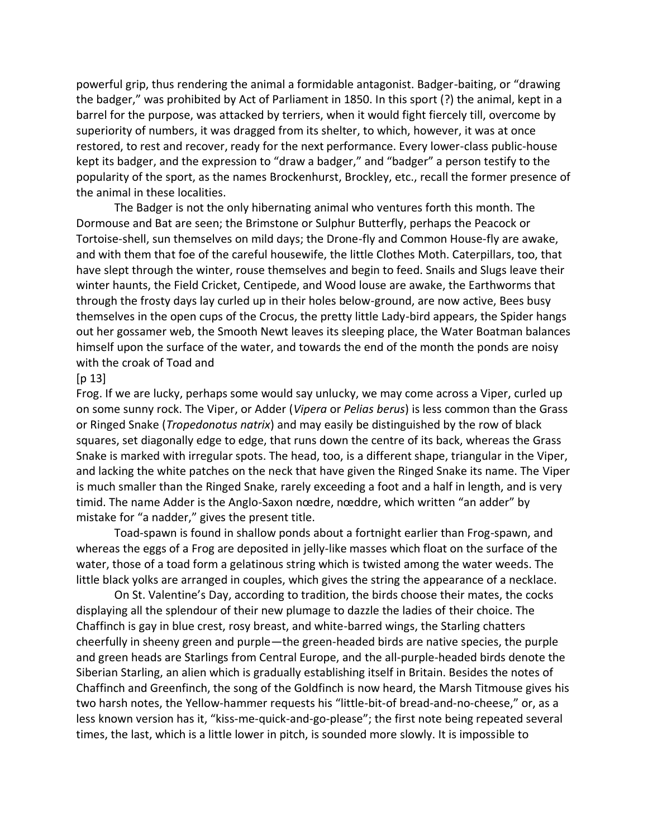powerful grip, thus rendering the animal a formidable antagonist. Badger-baiting, or "drawing the badger," was prohibited by Act of Parliament in 1850. In this sport (?) the animal, kept in a barrel for the purpose, was attacked by terriers, when it would fight fiercely till, overcome by superiority of numbers, it was dragged from its shelter, to which, however, it was at once restored, to rest and recover, ready for the next performance. Every lower-class public-house kept its badger, and the expression to "draw a badger," and "badger" a person testify to the popularity of the sport, as the names Brockenhurst, Brockley, etc., recall the former presence of the animal in these localities.

The Badger is not the only hibernating animal who ventures forth this month. The Dormouse and Bat are seen; the Brimstone or Sulphur Butterfly, perhaps the Peacock or Tortoise-shell, sun themselves on mild days; the Drone-fly and Common House-fly are awake, and with them that foe of the careful housewife, the little Clothes Moth. Caterpillars, too, that have slept through the winter, rouse themselves and begin to feed. Snails and Slugs leave their winter haunts, the Field Cricket, Centipede, and Wood louse are awake, the Earthworms that through the frosty days lay curled up in their holes below-ground, are now active, Bees busy themselves in the open cups of the Crocus, the pretty little Lady-bird appears, the Spider hangs out her gossamer web, the Smooth Newt leaves its sleeping place, the Water Boatman balances himself upon the surface of the water, and towards the end of the month the ponds are noisy with the croak of Toad and

## $[p 13]$

Frog. If we are lucky, perhaps some would say unlucky, we may come across a Viper, curled up on some sunny rock. The Viper, or Adder (*Vipera* or *Pelias berus*) is less common than the Grass or Ringed Snake (*Tropedonotus natrix*) and may easily be distinguished by the row of black squares, set diagonally edge to edge, that runs down the centre of its back, whereas the Grass Snake is marked with irregular spots. The head, too, is a different shape, triangular in the Viper, and lacking the white patches on the neck that have given the Ringed Snake its name. The Viper is much smaller than the Ringed Snake, rarely exceeding a foot and a half in length, and is very timid. The name Adder is the Anglo-Saxon nœdre, nœddre, which written "an adder" by mistake for "a nadder," gives the present title.

Toad-spawn is found in shallow ponds about a fortnight earlier than Frog-spawn, and whereas the eggs of a Frog are deposited in jelly-like masses which float on the surface of the water, those of a toad form a gelatinous string which is twisted among the water weeds. The little black yolks are arranged in couples, which gives the string the appearance of a necklace.

On St. Valentine's Day, according to tradition, the birds choose their mates, the cocks displaying all the splendour of their new plumage to dazzle the ladies of their choice. The Chaffinch is gay in blue crest, rosy breast, and white-barred wings, the Starling chatters cheerfully in sheeny green and purple—the green-headed birds are native species, the purple and green heads are Starlings from Central Europe, and the all-purple-headed birds denote the Siberian Starling, an alien which is gradually establishing itself in Britain. Besides the notes of Chaffinch and Greenfinch, the song of the Goldfinch is now heard, the Marsh Titmouse gives his two harsh notes, the Yellow-hammer requests his "little-bit-of bread-and-no-cheese," or, as a less known version has it, "kiss-me-quick-and-go-please"; the first note being repeated several times, the last, which is a little lower in pitch, is sounded more slowly. It is impossible to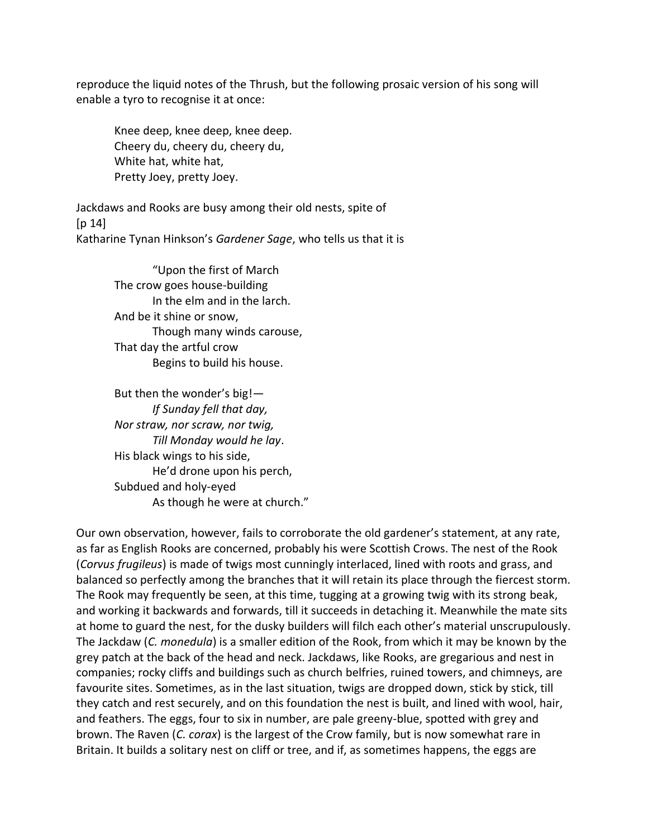reproduce the liquid notes of the Thrush, but the following prosaic version of his song will enable a tyro to recognise it at once:

Knee deep, knee deep, knee deep. Cheery du, cheery du, cheery du, White hat, white hat, Pretty Joey, pretty Joey.

Jackdaws and Rooks are busy among their old nests, spite of  $[p 14]$ Katharine Tynan Hinkson's *Gardener Sage*, who tells us that it is

> "Upon the first of March The crow goes house-building In the elm and in the larch. And be it shine or snow, Though many winds carouse, That day the artful crow Begins to build his house.

But then the wonder's big!— *If Sunday fell that day, Nor straw, nor scraw, nor twig, Till Monday would he lay*. His black wings to his side, He'd drone upon his perch, Subdued and holy-eyed As though he were at church."

Our own observation, however, fails to corroborate the old gardener's statement, at any rate, as far as English Rooks are concerned, probably his were Scottish Crows. The nest of the Rook (*Corvus frugileus*) is made of twigs most cunningly interlaced, lined with roots and grass, and balanced so perfectly among the branches that it will retain its place through the fiercest storm. The Rook may frequently be seen, at this time, tugging at a growing twig with its strong beak, and working it backwards and forwards, till it succeeds in detaching it. Meanwhile the mate sits at home to guard the nest, for the dusky builders will filch each other's material unscrupulously. The Jackdaw (*C. monedula*) is a smaller edition of the Rook, from which it may be known by the grey patch at the back of the head and neck. Jackdaws, like Rooks, are gregarious and nest in companies; rocky cliffs and buildings such as church belfries, ruined towers, and chimneys, are favourite sites. Sometimes, as in the last situation, twigs are dropped down, stick by stick, till they catch and rest securely, and on this foundation the nest is built, and lined with wool, hair, and feathers. The eggs, four to six in number, are pale greeny-blue, spotted with grey and brown. The Raven (*C. corax*) is the largest of the Crow family, but is now somewhat rare in Britain. It builds a solitary nest on cliff or tree, and if, as sometimes happens, the eggs are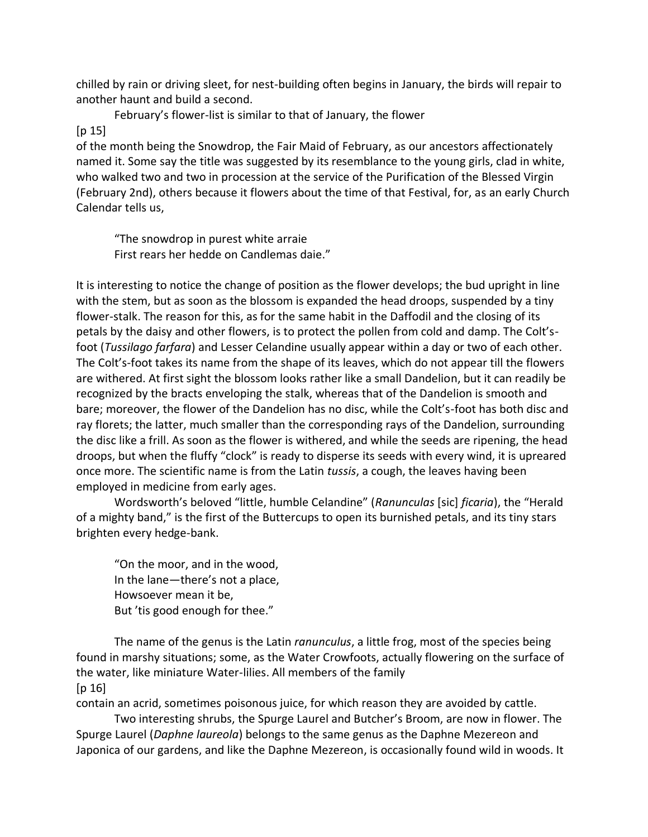chilled by rain or driving sleet, for nest-building often begins in January, the birds will repair to another haunt and build a second.

February's flower-list is similar to that of January, the flower

## $[p 15]$

of the month being the Snowdrop, the Fair Maid of February, as our ancestors affectionately named it. Some say the title was suggested by its resemblance to the young girls, clad in white, who walked two and two in procession at the service of the Purification of the Blessed Virgin (February 2nd), others because it flowers about the time of that Festival, for, as an early Church Calendar tells us,

"The snowdrop in purest white arraie First rears her hedde on Candlemas daie."

It is interesting to notice the change of position as the flower develops; the bud upright in line with the stem, but as soon as the blossom is expanded the head droops, suspended by a tiny flower-stalk. The reason for this, as for the same habit in the Daffodil and the closing of its petals by the daisy and other flowers, is to protect the pollen from cold and damp. The Colt'sfoot (*Tussilago farfara*) and Lesser Celandine usually appear within a day or two of each other. The Colt's-foot takes its name from the shape of its leaves, which do not appear till the flowers are withered. At first sight the blossom looks rather like a small Dandelion, but it can readily be recognized by the bracts enveloping the stalk, whereas that of the Dandelion is smooth and bare; moreover, the flower of the Dandelion has no disc, while the Colt's-foot has both disc and ray florets; the latter, much smaller than the corresponding rays of the Dandelion, surrounding the disc like a frill. As soon as the flower is withered, and while the seeds are ripening, the head droops, but when the fluffy "clock" is ready to disperse its seeds with every wind, it is upreared once more. The scientific name is from the Latin *tussis*, a cough, the leaves having been employed in medicine from early ages.

Wordsworth's beloved "little, humble Celandine" (*Ranunculas* [sic] *ficaria*), the "Herald of a mighty band," is the first of the Buttercups to open its burnished petals, and its tiny stars brighten every hedge-bank.

"On the moor, and in the wood, In the lane—there's not a place, Howsoever mean it be, But 'tis good enough for thee."

The name of the genus is the Latin *ranunculus*, a little frog, most of the species being found in marshy situations; some, as the Water Crowfoots, actually flowering on the surface of the water, like miniature Water-lilies. All members of the family  $[p 16]$ 

contain an acrid, sometimes poisonous juice, for which reason they are avoided by cattle.

Two interesting shrubs, the Spurge Laurel and Butcher's Broom, are now in flower. The Spurge Laurel (*Daphne laureola*) belongs to the same genus as the Daphne Mezereon and Japonica of our gardens, and like the Daphne Mezereon, is occasionally found wild in woods. It